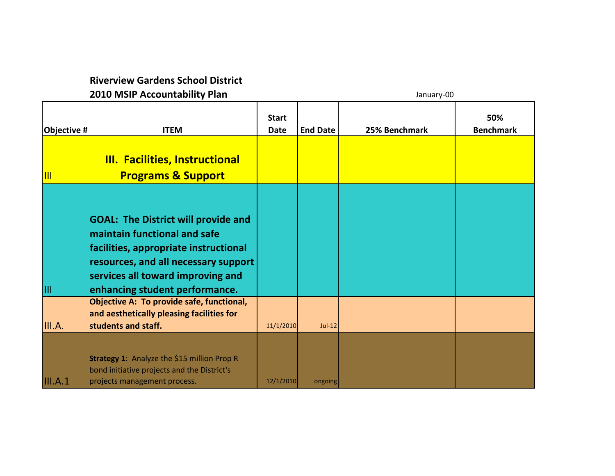## **Riverview Gardens School District**

**2010 MSIP Accountability Plan** January-00

| Objective #               | <b>ITEM</b>                                                                                                                                                                                                                               | <b>Start</b><br><b>Date</b> | <b>End Date</b> | 25% Benchmark | 50%<br><b>Benchmark</b> |
|---------------------------|-------------------------------------------------------------------------------------------------------------------------------------------------------------------------------------------------------------------------------------------|-----------------------------|-----------------|---------------|-------------------------|
| $\overline{\mathsf{III}}$ | <b>III. Facilities, Instructional</b><br><b>Programs &amp; Support</b>                                                                                                                                                                    |                             |                 |               |                         |
| Ш                         | <b>GOAL: The District will provide and</b><br><b>maintain functional and safe</b><br>facilities, appropriate instructional<br>resources, and all necessary support<br>services all toward improving and<br>enhancing student performance. |                             |                 |               |                         |
| III.A.                    | Objective A: To provide safe, functional,<br>and aesthetically pleasing facilities for<br>students and staff.                                                                                                                             | 11/1/2010                   | $Jul-12$        |               |                         |
| III.A.1                   | Strategy 1: Analyze the \$15 million Prop R<br>bond initiative projects and the District's<br>projects management process.                                                                                                                | 12/1/2010                   | ongoing         |               |                         |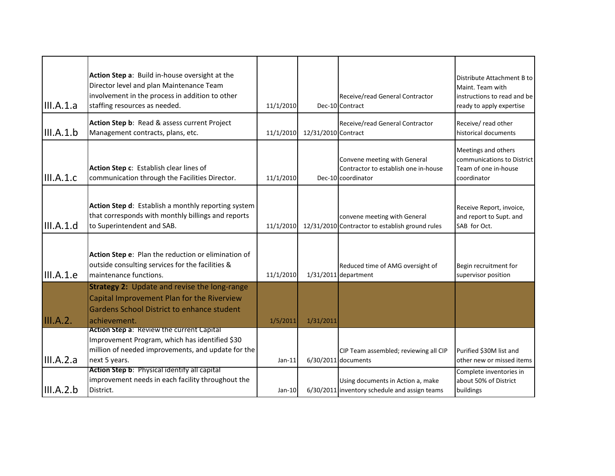| III.A.1.a | Action Step a: Build in-house oversight at the<br>Director level and plan Maintenance Team<br>involvement in the process in addition to other<br>staffing resources as needed.     | 11/1/2010            |                     | Receive/read General Contractor<br>Dec-10 Contract                                         | Distribute Attachment B to<br>Maint. Team with<br>instructions to read and be<br>ready to apply expertise |
|-----------|------------------------------------------------------------------------------------------------------------------------------------------------------------------------------------|----------------------|---------------------|--------------------------------------------------------------------------------------------|-----------------------------------------------------------------------------------------------------------|
| III.A.1.b | Action Step b: Read & assess current Project<br>Management contracts, plans, etc.                                                                                                  | 11/1/2010            | 12/31/2010 Contract | Receive/read General Contractor                                                            | Receive/ read other<br>historical documents                                                               |
| III.A.1.c | Action Step c: Establish clear lines of<br>communication through the Facilities Director.                                                                                          | 11/1/2010            |                     | Convene meeting with General<br>Contractor to establish one in-house<br>Dec-10 coordinator | Meetings and others<br>communications to District<br>Team of one in-house<br>coordinator                  |
| III.A.1.d | Action Step d: Establish a monthly reporting system<br>that corresponds with monthly billings and reports<br>to Superintendent and SAB.                                            | 11/1/2010            |                     | convene meeting with General<br>12/31/2010 Contractor to establish ground rules            | Receive Report, invoice,<br>and report to Supt. and<br>SAB for Oct.                                       |
| III.A.1.e | Action Step e: Plan the reduction or elimination of<br>outside consulting services for the facilities &<br>maintenance functions.                                                  | 11/1/2010            |                     | Reduced time of AMG oversight of<br>1/31/2011 department                                   | Begin recruitment for<br>supervisor position                                                              |
| III.A.2.  | Strategy 2: Update and revise the long-range<br>Capital Improvement Plan for the Riverview<br><b>Gardens School District to enhance student</b>                                    |                      | 1/31/2011           |                                                                                            |                                                                                                           |
| III.A.2.a | achievement.<br>Action Step a: Review the current Capital<br>Improvement Program, which has identified \$30<br>million of needed improvements, and update for the<br>next 5 years. | 1/5/2011<br>$Jan-11$ |                     | CIP Team assembled; reviewing all CIP<br>$6/30/2011$ documents                             | Purified \$30M list and<br>other new or missed items                                                      |
| III.A.2.b | Action Step b: Physical identify all capital<br>improvement needs in each facility throughout the<br>District.                                                                     | $Jan-10$             |                     | Using documents in Action a, make<br>6/30/2011 inventory schedule and assign teams         | Complete inventories in<br>about 50% of District<br>buildings                                             |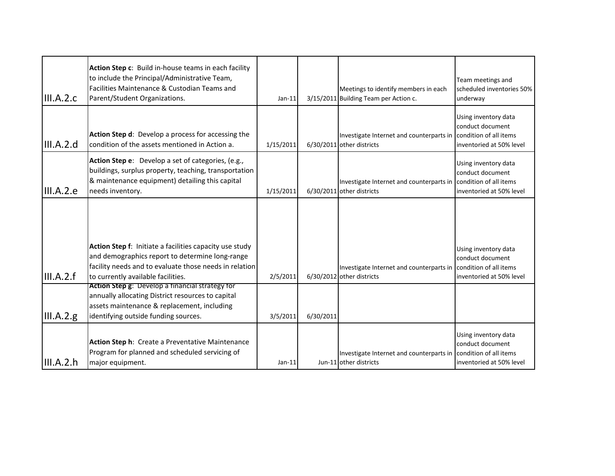| III.A.2.c  | Action Step c: Build in-house teams in each facility<br>to include the Principal/Administrative Team,<br>Facilities Maintenance & Custodian Teams and<br>Parent/Student Organizations.      | $Jan-11$  |           | Meetings to identify members in each<br>3/15/2011 Building Team per Action c.                | Team meetings and<br>scheduled inventories 50%<br>underway           |
|------------|---------------------------------------------------------------------------------------------------------------------------------------------------------------------------------------------|-----------|-----------|----------------------------------------------------------------------------------------------|----------------------------------------------------------------------|
| III.A.2.d  | Action Step d: Develop a process for accessing the<br>condition of the assets mentioned in Action a.                                                                                        | 1/15/2011 |           | Investigate Internet and counterparts in condition of all items<br>6/30/2011 other districts | Using inventory data<br>conduct document<br>inventoried at 50% level |
| III.A.2.e  | Action Step e: Develop a set of categories, (e.g.,<br>buildings, surplus property, teaching, transportation<br>& maintenance equipment) detailing this capital<br>needs inventory.          | 1/15/2011 |           | Investigate Internet and counterparts in condition of all items<br>6/30/2011 other districts | Using inventory data<br>conduct document<br>inventoried at 50% level |
|            | Action Step f: Initiate a facilities capacity use study                                                                                                                                     |           |           |                                                                                              | Using inventory data                                                 |
| III.A.2.f  | and demographics report to determine long-range<br>facility needs and to evaluate those needs in relation<br>to currently available facilities.                                             | 2/5/2011  |           | Investigate Internet and counterparts in condition of all items<br>6/30/2012 other districts | conduct document<br>inventoried at 50% level                         |
| III.A.2.g. | Action Step g: Develop a financial strategy for<br>annually allocating District resources to capital<br>assets maintenance & replacement, including<br>identifying outside funding sources. | 3/5/2011  | 6/30/2011 |                                                                                              |                                                                      |
| III.A.2.h  | Action Step h: Create a Preventative Maintenance<br>Program for planned and scheduled servicing of<br>major equipment.                                                                      | $Jan-11$  |           | Investigate Internet and counterparts in condition of all items<br>Jun-11 other districts    | Using inventory data<br>conduct document<br>inventoried at 50% level |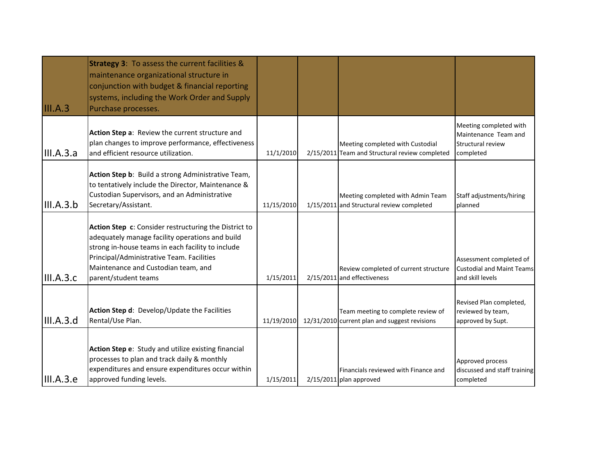| III.A.3   | <b>Strategy 3: To assess the current facilities &amp;</b><br>maintenance organizational structure in<br>conjunction with budget & financial reporting<br>systems, including the Work Order and Supply<br>Purchase processes.                                              |            |                                                                                     |                                                                                         |
|-----------|---------------------------------------------------------------------------------------------------------------------------------------------------------------------------------------------------------------------------------------------------------------------------|------------|-------------------------------------------------------------------------------------|-----------------------------------------------------------------------------------------|
| III.A.3.a | Action Step a: Review the current structure and<br>plan changes to improve performance, effectiveness<br>and efficient resource utilization.                                                                                                                              | 11/1/2010  | Meeting completed with Custodial<br>2/15/2011 Team and Structural review completed  | Meeting completed with<br>Maintenance Team and<br><b>Structural review</b><br>completed |
| III.A.3.b | <b>Action Step b:</b> Build a strong Administrative Team,<br>to tentatively include the Director, Maintenance &<br>Custodian Supervisors, and an Administrative<br>Secretary/Assistant.                                                                                   | 11/15/2010 | Meeting completed with Admin Team<br>1/15/2011 and Structural review completed      | Staff adjustments/hiring<br>planned                                                     |
| III.A.3.c | Action Step c: Consider restructuring the District to<br>adequately manage facility operations and build<br>strong in-house teams in each facility to include<br>Principal/Administrative Team. Facilities<br>Maintenance and Custodian team, and<br>parent/student teams | 1/15/2011  | Review completed of current structure<br>2/15/2011 and effectiveness                | Assessment completed of<br>Custodial and Maint Teams<br>and skill levels                |
| III.A.3.d | Action Step d: Develop/Update the Facilities<br>Rental/Use Plan.                                                                                                                                                                                                          | 11/19/2010 | Team meeting to complete review of<br>12/31/2010 current plan and suggest revisions | Revised Plan completed,<br>reviewed by team,<br>approved by Supt.                       |
| III.A.3.e | Action Step e: Study and utilize existing financial<br>processes to plan and track daily & monthly<br>expenditures and ensure expenditures occur within<br>approved funding levels.                                                                                       | 1/15/2011  | Financials reviewed with Finance and<br>2/15/2011 plan approved                     | Approved process<br>discussed and staff training<br>completed                           |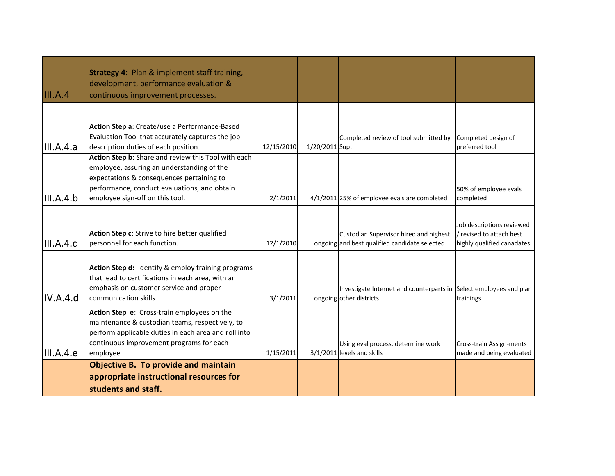| III.A.4   | <b>Strategy 4: Plan &amp; implement staff training,</b><br>development, performance evaluation &<br>continuous improvement processes.                                                                                             |            |                 |                                                                                               |                                                                                     |
|-----------|-----------------------------------------------------------------------------------------------------------------------------------------------------------------------------------------------------------------------------------|------------|-----------------|-----------------------------------------------------------------------------------------------|-------------------------------------------------------------------------------------|
| III.A.4.a | Action Step a: Create/use a Performance-Based<br>Evaluation Tool that accurately captures the job<br>description duties of each position.                                                                                         | 12/15/2010 | 1/20/2011 Supt. | Completed review of tool submitted by                                                         | Completed design of<br>preferred tool                                               |
| III.A.4.b | Action Step b: Share and review this Tool with each<br>employee, assuring an understanding of the<br>expectations & consequences pertaining to<br>performance, conduct evaluations, and obtain<br>employee sign-off on this tool. | 2/1/2011   |                 | 4/1/2011 25% of employee evals are completed                                                  | 50% of employee evals<br>completed                                                  |
| III.A.4.c | Action Step c: Strive to hire better qualified<br>personnel for each function.                                                                                                                                                    | 12/1/2010  |                 | Custodian Supervisor hired and highest<br>ongoing and best qualified candidate selected       | Job descriptions reviewed<br>/ revised to attach best<br>highly qualified canadates |
| IV.A.4.d  | Action Step d: Identify & employ training programs<br>that lead to certifications in each area, with an<br>emphasis on customer service and proper<br>communication skills.                                                       | 3/1/2011   |                 | Investigate Internet and counterparts in Select employees and plan<br>ongoing other districts | trainings                                                                           |
| III.A.4.e | Action Step e: Cross-train employees on the<br>maintenance & custodian teams, respectively, to<br>perform applicable duties in each area and roll into<br>continuous improvement programs for each<br>employee                    | 1/15/2011  |                 | Using eval process, determine work<br>3/1/2011 levels and skills                              | Cross-train Assign-ments<br>made and being evaluated                                |
|           | <b>Objective B. To provide and maintain</b><br>appropriate instructional resources for<br>students and staff.                                                                                                                     |            |                 |                                                                                               |                                                                                     |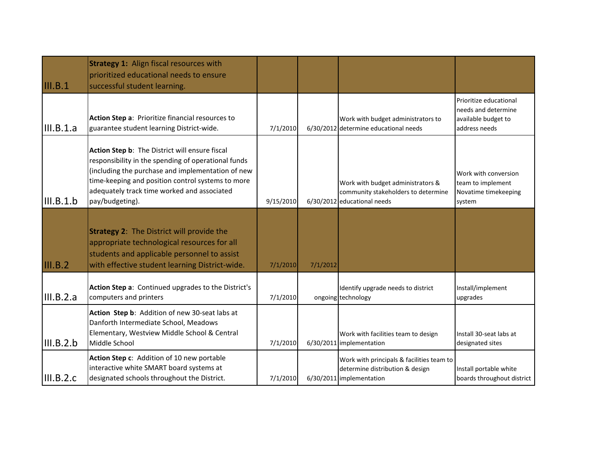| III.B.1   | <b>Strategy 1: Align fiscal resources with</b><br>prioritized educational needs to ensure<br>successful student learning.                                                                                                                                                         |           |          |                                                                                                          |                                                                                       |
|-----------|-----------------------------------------------------------------------------------------------------------------------------------------------------------------------------------------------------------------------------------------------------------------------------------|-----------|----------|----------------------------------------------------------------------------------------------------------|---------------------------------------------------------------------------------------|
| III.B.1.a | Action Step a: Prioritize financial resources to<br>guarantee student learning District-wide.                                                                                                                                                                                     | 7/1/2010  |          | Work with budget administrators to<br>6/30/2012 determine educational needs                              | Prioritize educational<br>needs and determine<br>available budget to<br>address needs |
| III.B.1.b | Action Step b: The District will ensure fiscal<br>responsibility in the spending of operational funds<br>(including the purchase and implementation of new<br>time-keeping and position control systems to more<br>adequately track time worked and associated<br>pay/budgeting). | 9/15/2010 |          | Work with budget administrators &<br>community stakeholders to determine<br>6/30/2012 educational needs  | Work with conversion<br>team to implement<br>Novatime timekeeping<br>system           |
| III.B.2   | <b>Strategy 2: The District will provide the</b><br>appropriate technological resources for all<br>students and applicable personnel to assist<br>with effective student learning District-wide.                                                                                  | 7/1/2010  | 7/1/2012 |                                                                                                          |                                                                                       |
| III.B.2.a | Action Step a: Continued upgrades to the District's<br>computers and printers                                                                                                                                                                                                     | 7/1/2010  |          | Identify upgrade needs to district<br>ongoing technology                                                 | Install/implement<br>upgrades                                                         |
| III.B.2.b | Action Step b: Addition of new 30-seat labs at<br>Danforth Intermediate School, Meadows<br>Elementary, Westview Middle School & Central<br>Middle School                                                                                                                          | 7/1/2010  |          | Work with facilities team to design<br>6/30/2011 implementation                                          | Install 30-seat labs at<br>designated sites                                           |
| III.B.2.c | Action Step c: Addition of 10 new portable<br>interactive white SMART board systems at<br>designated schools throughout the District.                                                                                                                                             | 7/1/2010  |          | Work with principals & facilities team to<br>determine distribution & design<br>6/30/2011 implementation | Install portable white<br>boards throughout district                                  |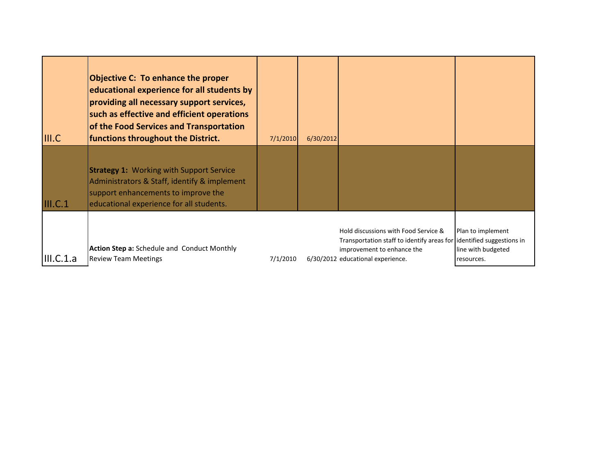| <b>III.C</b> | <b>Objective C: To enhance the proper</b><br>educational experience for all students by<br>providing all necessary support services,<br>such as effective and efficient operations<br>of the Food Services and Transportation<br>functions throughout the District. | 7/1/2010 | 6/30/2012 |                                                                                                                                                                                 |                                                       |
|--------------|---------------------------------------------------------------------------------------------------------------------------------------------------------------------------------------------------------------------------------------------------------------------|----------|-----------|---------------------------------------------------------------------------------------------------------------------------------------------------------------------------------|-------------------------------------------------------|
| III.C.1      | <b>Strategy 1: Working with Support Service</b><br>Administrators & Staff, identify & implement<br>support enhancements to improve the<br>educational experience for all students.                                                                                  |          |           |                                                                                                                                                                                 |                                                       |
| III.C.1.a    | <b>Action Step a: Schedule and Conduct Monthly</b><br><b>Review Team Meetings</b>                                                                                                                                                                                   | 7/1/2010 |           | Hold discussions with Food Service &<br>Transportation staff to identify areas for identified suggestions in<br>improvement to enhance the<br>6/30/2012 educational experience. | Plan to implement<br>line with budgeted<br>resources. |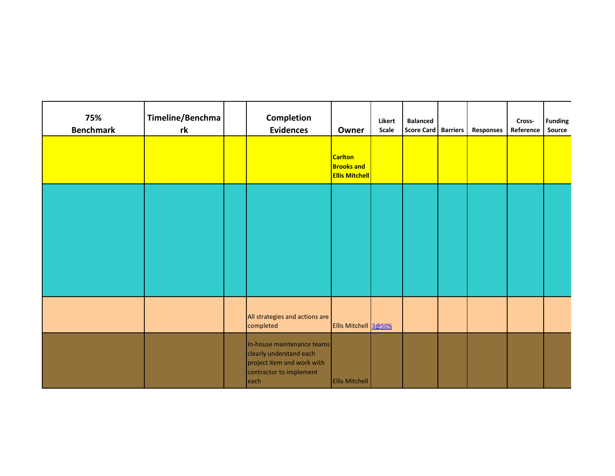| 75%<br><b>Benchmark</b> | Timeline/Benchma<br>rk | <b>Completion</b><br><b>Evidences</b>                                                                                  | Owner                                                        | Likert<br>Scale | <b>Balanced</b><br>Score Card   Barriers | Responses | Cross-<br>Reference | <b>Funding</b><br>Source |
|-------------------------|------------------------|------------------------------------------------------------------------------------------------------------------------|--------------------------------------------------------------|-----------------|------------------------------------------|-----------|---------------------|--------------------------|
|                         |                        |                                                                                                                        | <b>Carlton</b><br><b>Brooks and</b><br><b>Ellis Mitchell</b> |                 |                                          |           |                     |                          |
|                         |                        |                                                                                                                        |                                                              |                 |                                          |           |                     |                          |
|                         |                        |                                                                                                                        |                                                              |                 |                                          |           |                     |                          |
|                         |                        | All strategies and actions are<br>completed                                                                            | Ellis Mitchell 3@50%                                         |                 |                                          |           |                     |                          |
|                         |                        | In-house maintenance teams<br>clearly understand each<br>project item and work with<br>contractor to implement<br>each | <b>Ellis Mitchell</b>                                        |                 |                                          |           |                     |                          |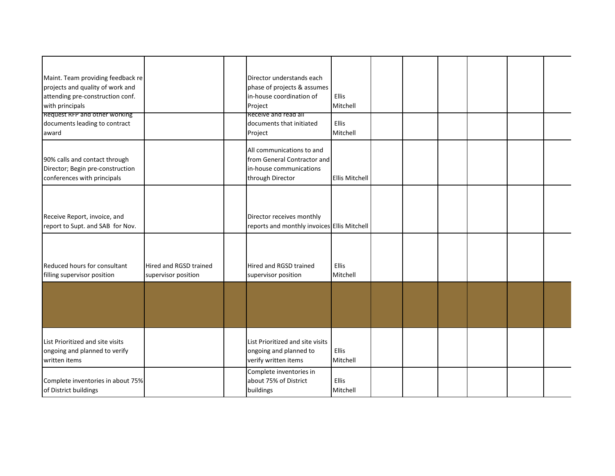| Maint. Team providing feedback re<br>projects and quality of work and<br>attending pre-construction conf.<br>with principals |                                               | Director understands each<br>phase of projects & assumes<br>in-house coordination of<br>Project         | Ellis<br>Mitchell     |  |  |  |
|------------------------------------------------------------------------------------------------------------------------------|-----------------------------------------------|---------------------------------------------------------------------------------------------------------|-----------------------|--|--|--|
| Request RFP and other working<br>documents leading to contract<br>award                                                      |                                               | Receive and read all<br>documents that initiated<br>Project                                             | Ellis<br>Mitchell     |  |  |  |
| 90% calls and contact through<br>Director; Begin pre-construction<br>conferences with principals                             |                                               | All communications to and<br>from General Contractor and<br>in-house communications<br>through Director | <b>Ellis Mitchell</b> |  |  |  |
| Receive Report, invoice, and<br>report to Supt. and SAB for Nov.                                                             |                                               | Director receives monthly<br>reports and monthly invoices Ellis Mitchell                                |                       |  |  |  |
| Reduced hours for consultant<br>filling supervisor position                                                                  | Hired and RGSD trained<br>supervisor position | Hired and RGSD trained<br>supervisor position                                                           | Ellis<br>Mitchell     |  |  |  |
|                                                                                                                              |                                               |                                                                                                         |                       |  |  |  |
| List Prioritized and site visits<br>ongoing and planned to verify<br>written items                                           |                                               | List Prioritized and site visits<br>ongoing and planned to<br>verify written items                      | Ellis<br>Mitchell     |  |  |  |
| Complete inventories in about 75%<br>of District buildings                                                                   |                                               | Complete inventories in<br>about 75% of District<br>buildings                                           | Ellis<br>Mitchell     |  |  |  |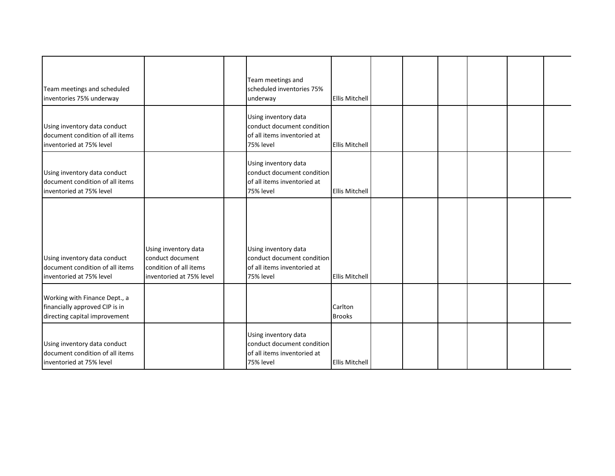| Team meetings and scheduled<br>inventories 75% underway                                          |                                                                                                | Team meetings and<br>scheduled inventories 75%<br>underway                                     | <b>Ellis Mitchell</b>    |  |  |  |
|--------------------------------------------------------------------------------------------------|------------------------------------------------------------------------------------------------|------------------------------------------------------------------------------------------------|--------------------------|--|--|--|
| Using inventory data conduct<br>document condition of all items<br>inventoried at 75% level      |                                                                                                | Using inventory data<br>conduct document condition<br>of all items inventoried at<br>75% level | <b>Ellis Mitchell</b>    |  |  |  |
| Using inventory data conduct<br>document condition of all items<br>inventoried at 75% level      |                                                                                                | Using inventory data<br>conduct document condition<br>of all items inventoried at<br>75% level | <b>Ellis Mitchell</b>    |  |  |  |
| Using inventory data conduct<br>document condition of all items<br>inventoried at 75% level      | Using inventory data<br>conduct document<br>condition of all items<br>inventoried at 75% level | Using inventory data<br>conduct document condition<br>of all items inventoried at<br>75% level | <b>Ellis Mitchell</b>    |  |  |  |
| Working with Finance Dept., a<br>financially approved CIP is in<br>directing capital improvement |                                                                                                |                                                                                                | Carlton<br><b>Brooks</b> |  |  |  |
| Using inventory data conduct<br>document condition of all items<br>inventoried at 75% level      |                                                                                                | Using inventory data<br>conduct document condition<br>of all items inventoried at<br>75% level | <b>Ellis Mitchell</b>    |  |  |  |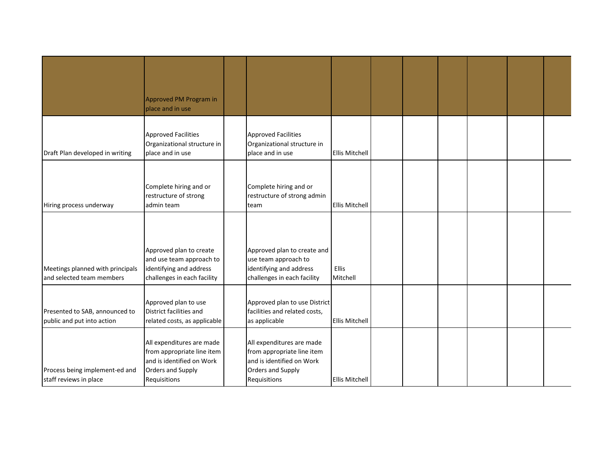|                                                               | Approved PM Program in<br>place and in use                                                                                |                                                                                                                           |                       |  |  |  |
|---------------------------------------------------------------|---------------------------------------------------------------------------------------------------------------------------|---------------------------------------------------------------------------------------------------------------------------|-----------------------|--|--|--|
| Draft Plan developed in writing                               | <b>Approved Facilities</b><br>Organizational structure in<br>place and in use                                             | <b>Approved Facilities</b><br>Organizational structure in<br>place and in use                                             | <b>Ellis Mitchell</b> |  |  |  |
| Hiring process underway                                       | Complete hiring and or<br>restructure of strong<br>admin team                                                             | Complete hiring and or<br>restructure of strong admin<br>team                                                             | <b>Ellis Mitchell</b> |  |  |  |
| Meetings planned with principals<br>and selected team members | Approved plan to create<br>and use team approach to<br>identifying and address<br>challenges in each facility             | Approved plan to create and<br>use team approach to<br>identifying and address<br>challenges in each facility             | Ellis<br>Mitchell     |  |  |  |
| Presented to SAB, announced to<br>public and put into action  | Approved plan to use<br>District facilities and<br>related costs, as applicable                                           | Approved plan to use District<br>facilities and related costs,<br>as applicable                                           | <b>Ellis Mitchell</b> |  |  |  |
| Process being implement-ed and<br>staff reviews in place      | All expenditures are made<br>from appropriate line item<br>and is identified on Work<br>Orders and Supply<br>Requisitions | All expenditures are made<br>from appropriate line item<br>and is identified on Work<br>Orders and Supply<br>Requisitions | <b>Ellis Mitchell</b> |  |  |  |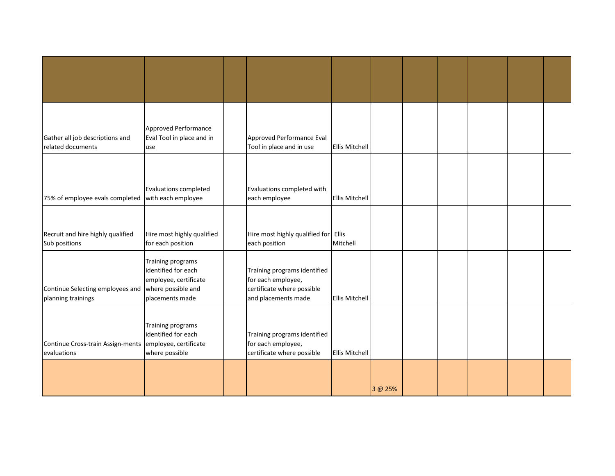| Gather all job descriptions and<br>related documents                   | Approved Performance<br>Eval Tool in place and in<br>use                                                          | Approved Performance Eval<br>Tool in place and in use                                                   | <b>Ellis Mitchell</b> |         |  |  |  |
|------------------------------------------------------------------------|-------------------------------------------------------------------------------------------------------------------|---------------------------------------------------------------------------------------------------------|-----------------------|---------|--|--|--|
| 75% of employee evals completed                                        | Evaluations completed<br>with each employee                                                                       | Evaluations completed with<br>each employee                                                             | <b>Ellis Mitchell</b> |         |  |  |  |
| Recruit and hire highly qualified<br>Sub positions                     | Hire most highly qualified<br>for each position                                                                   | Hire most highly qualified for Ellis<br>each position                                                   | Mitchell              |         |  |  |  |
| Continue Selecting employees and<br>planning trainings                 | <b>Training programs</b><br>identified for each<br>employee, certificate<br>where possible and<br>placements made | Training programs identified<br>for each employee,<br>certificate where possible<br>and placements made | <b>Ellis Mitchell</b> |         |  |  |  |
| Continue Cross-train Assign-ments<br><i><u><b>levaluations</b></u></i> | Training programs<br>identified for each<br>employee, certificate<br>where possible                               | Training programs identified<br>for each employee,<br>certificate where possible                        | <b>Ellis Mitchell</b> |         |  |  |  |
|                                                                        |                                                                                                                   |                                                                                                         |                       | 3 @ 25% |  |  |  |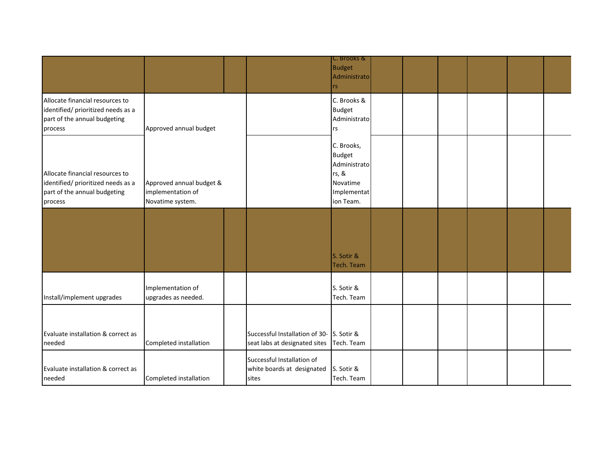|                                                                                                                  |                                                                   |                                                                            | ር. Brooks &<br><b>Budget</b><br>Administrato<br>rs                                           |  |  |  |
|------------------------------------------------------------------------------------------------------------------|-------------------------------------------------------------------|----------------------------------------------------------------------------|----------------------------------------------------------------------------------------------|--|--|--|
| Allocate financial resources to<br>identified/ prioritized needs as a<br>part of the annual budgeting<br>process | Approved annual budget                                            |                                                                            | C. Brooks &<br><b>Budget</b><br>Administrato<br>rs                                           |  |  |  |
| Allocate financial resources to<br>identified/ prioritized needs as a<br>part of the annual budgeting<br>process | Approved annual budget &<br>implementation of<br>Novatime system. |                                                                            | C. Brooks,<br><b>Budget</b><br>Administrato<br>rs, &<br>Novatime<br>Implementat<br>ion Team. |  |  |  |
|                                                                                                                  |                                                                   |                                                                            | S. Sotir &<br>Tech. Team                                                                     |  |  |  |
| Install/implement upgrades                                                                                       | Implementation of<br>upgrades as needed.                          |                                                                            | S. Sotir &<br>Tech. Team                                                                     |  |  |  |
| Evaluate installation & correct as<br>needed                                                                     | Completed installation                                            | Successful Installation of 30- S. Sotir &<br>seat labs at designated sites | Tech. Team                                                                                   |  |  |  |
| Evaluate installation & correct as<br>needed                                                                     | Completed installation                                            | Successful Installation of<br>white boards at designated<br>sites          | S. Sotir &<br>Tech. Team                                                                     |  |  |  |